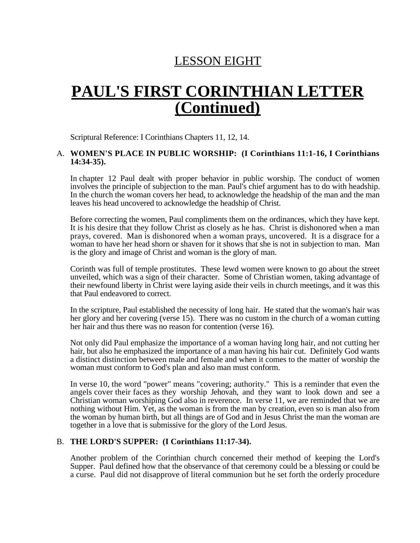## LESSON EIGHT

# **PAUL'S FIRST CORINTHIAN LETTER (Continued)**

Scriptural Reference: I Corinthians Chapters 11, 12, 14.

#### A. **WOMEN'S PLACE IN PUBLIC WORSHIP: (I Corinthians 11:1-16, I Corinthians 14:34-35).**

In chapter 12 Paul dealt with proper behavior in public worship. The conduct of women involves the principle of subjection to the man. Paul's chief argument has to do with headship. In the church the woman covers her head, to acknowledge the headship of the man and the man leaves his head uncovered to acknowledge the headship of Christ.

Before correcting the women, Paul compliments them on the ordinances, which they have kept. It is his desire that they follow Christ as closely as he has. Christ is dishonored when a man prays, covered. Man is dishonored when a woman prays, uncovered. It is a disgrace for a woman to have her head shorn or shaven for it shows that she is not in subjection to man. Man is the glory and image of Christ and woman is the glory of man.

Corinth was full of temple prostitutes. These lewd women were known to go about the street unveiled, which was a sign of their character. Some of Christian women, taking advantage of their newfound liberty in Christ were laying aside their veils in church meetings, and it was this that Paul endeavored to correct.

In the scripture, Paul established the necessity of long hair. He stated that the woman's hair was her glory and her covering (verse 15). There was no custom in the church of a woman cutting her hair and thus there was no reason for contention (verse 16).

Not only did Paul emphasize the importance of a woman having long hair, and not cutting her hair, but also he emphasized the importance of a man having his hair cut. Definitely God wants a distinct distinction between male and female and when it comes to the matter of worship the woman must conform to God's plan and also man must conform.

In verse 10, the word "power" means "covering; authority." This is a reminder that even the angels cover their faces as they worship Jehovah, and they want to look down and see a Christian woman worshiping God also in reverence. In verse 11, we are reminded that we are nothing without Him. Yet, as the woman is from the man by creation, even so is man also from the woman by human birth, but all things are of God and in Jesus Christ the man the woman are together in a love that is submissive for the glory of the Lord Jesus.

#### B. **THE LORD'S SUPPER: (I Corinthians 11:17-34).**

Another problem of the Corinthian church concerned their method of keeping the Lord's Supper. Paul defined how that the observance of that ceremony could be a blessing or could be a curse. Paul did not disapprove of literal communion but he set forth the orderly procedure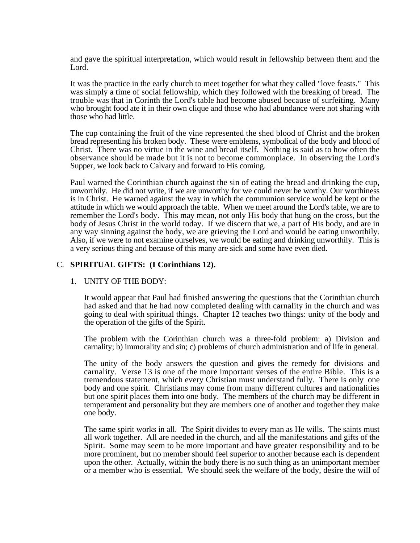and gave the spiritual interpretation, which would result in fellowship between them and the Lord.

It was the practice in the early church to meet together for what they called "love feasts." This was simply a time of social fellowship, which they followed with the breaking of bread. The trouble was that in Corinth the Lord's table had become abused because of surfeiting. Many who brought food ate it in their own clique and those who had abundance were not sharing with those who had little.

The cup containing the fruit of the vine represented the shed blood of Christ and the broken bread representing his broken body. These were emblems, symbolical of the body and blood of Christ. There was no virtue in the wine and bread itself. Nothing is said as to how often the observance should be made but it is not to become commonplace. In observing the Lord's Supper, we look back to Calvary and forward to His coming.

Paul warned the Corinthian church against the sin of eating the bread and drinking the cup, unworthily. He did not write, if we are unworthy for we could never be worthy. Our worthiness is in Christ. He warned against the way in which the communion service would be kept or the attitude in which we would approach the table. When we meet around the Lord's table, we are to remember the Lord's body. This may mean, not only His body that hung on the cross, but the body of Jesus Christ in the world today. If we discern that we, a part of His body, and are in any way sinning against the body, we are grieving the Lord and would be eating unworthily. Also, if we were to not examine ourselves, we would be eating and drinking unworthily. This is a very serious thing and because of this many are sick and some have even died.

#### C. **SPIRITUAL GIFTS: (I Corinthians 12).**

#### 1. UNITY OF THE BODY:

It would appear that Paul had finished answering the questions that the Corinthian church had asked and that he had now completed dealing with carnality in the church and was going to deal with spiritual things. Chapter 12 teaches two things: unity of the body and the operation of the gifts of the Spirit.

The problem with the Corinthian church was a three-fold problem: a) Division and carnality; b) immorality and sin; c) problems of church administration and of life in general.

The unity of the body answers the question and gives the remedy for divisions and carnality. Verse 13 is one of the more important verses of the entire Bible. This is a tremendous statement, which every Christian must understand fully. There is only one body and one spirit. Christians may come from many different cultures and nationalities but one spirit places them into one body. The members of the church may be different in temperament and personality but they are members one of another and together they make one body.

The same spirit works in all. The Spirit divides to every man as He wills. The saints must all work together. All are needed in the church, and all the manifestations and gifts of the Spirit. Some may seem to be more important and have greater responsibility and to be more prominent, but no member should feel superior to another because each is dependent upon the other. Actually, within the body there is no such thing as an unimportant member or a member who is essential. We should seek the welfare of the body, desire the will of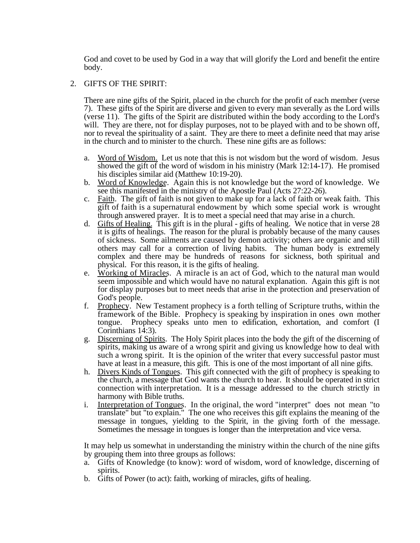God and covet to be used by God in a way that will glorify the Lord and benefit the entire body.

#### 2. GIFTS OF THE SPIRIT:

There are nine gifts of the Spirit, placed in the church for the profit of each member (verse 7). These gifts of the Spirit are diverse and given to every man severally as the Lord wills (verse 11). The gifts of the Spirit are distributed within the body according to the Lord's will. They are there, not for display purposes, not to be played with and to be shown off, nor to reveal the spirituality of a saint. They are there to meet a definite need that may arise in the church and to minister to the church. These nine gifts are as follows:

- a. Word of Wisdom. Let us note that this is not wisdom but the word of wisdom. Jesus showed the gift of the word of wisdom in his ministry (Mark 12:14-17). He promised his disciples similar aid (Matthew 10:19-20).
- b. Word of Knowledge. Again this is not knowledge but the word of knowledge. We see this manifested in the ministry of the Apostle Paul (Acts 27:22-26).
- c. Faith. The gift of faith is not given to make up for a lack of faith or weak faith. This gift of faith is a supernatural endowment by which some special work is wrought through answered prayer. It is to meet a special need that may arise in a church.
- d. Gifts of Healing. This gift is in the plural gifts of healing. We notice that in verse 28 it is gifts of healings. The reason for the plural is probably because of the many causes of sickness. Some ailments are caused by demon activity; others are organic and still others may call for a correction of living habits. The human body is extremely complex and there may be hundreds of reasons for sickness, both spiritual and physical. For this reason, it is the gifts of healing.
- e. Working of Miracles. A miracle is an act of God, which to the natural man would seem impossible and which would have no natural explanation. Again this gift is not for display purposes but to meet needs that arise in the protection and preservation of God's people.
- f. Prophecy. New Testament prophecy is a forth telling of Scripture truths, within the framework of the Bible. Prophecy is speaking by inspiration in ones own mother tongue. Prophecy speaks unto men to edification, exhortation, and comfort (I Corinthians 14:3).
- g. Discerning of Spirits. The Holy Spirit places into the body the gift of the discerning of spirits, making us aware of a wrong spirit and giving us knowledge how to deal with such a wrong spirit. It is the opinion of the writer that every successful pastor must have at least in a measure, this gift. This is one of the most important of all nine gifts.
- h. Divers Kinds of Tongues. This gift connected with the gift of prophecy is speaking to the church, a message that God wants the church to hear. It should be operated in strict connection with interpretation. It is a message addressed to the church strictly in harmony with Bible truths.
- i. Interpretation of Tongues. In the original, the word "interpret" does not mean "to translate" but "to explain." The one who receives this gift explains the meaning of the message in tongues, yielding to the Spirit, in the giving forth of the message. Sometimes the message in tongues is longer than the interpretation and vice versa.

It may help us somewhat in understanding the ministry within the church of the nine gifts by grouping them into three groups as follows:

- a. Gifts of Knowledge (to know): word of wisdom, word of knowledge, discerning of spirits.
- b. Gifts of Power (to act): faith, working of miracles, gifts of healing.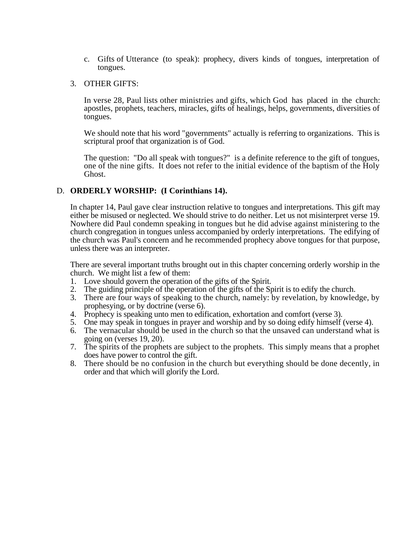c. Gifts of Utterance (to speak): prophecy, divers kinds of tongues, interpretation of tongues.

#### 3. OTHER GIFTS:

In verse 28, Paul lists other ministries and gifts, which God has placed in the church: apostles, prophets, teachers, miracles, gifts of healings, helps, governments, diversities of tongues.

We should note that his word "governments" actually is referring to organizations. This is scriptural proof that organization is of God.

The question: "Do all speak with tongues?" is a definite reference to the gift of tongues, one of the nine gifts. It does not refer to the initial evidence of the baptism of the Holy Ghost.

#### D. **ORDERLY WORSHIP: (I Corinthians 14).**

In chapter 14, Paul gave clear instruction relative to tongues and interpretations. This gift may either be misused or neglected. We should strive to do neither. Let us not misinterpret verse 19. Nowhere did Paul condemn speaking in tongues but he did advise against ministering to the church congregation in tongues unless accompanied by orderly interpretations. The edifying of the church was Paul's concern and he recommended prophecy above tongues for that purpose, unless there was an interpreter.

There are several important truths brought out in this chapter concerning orderly worship in the church. We might list a few of them:

- 1. Love should govern the operation of the gifts of the Spirit.
- 2. The guiding principle of the operation of the gifts of the Spirit is to edify the church.
- 3. There are four ways of speaking to the church, namely: by revelation, by knowledge, by prophesying, or by doctrine (verse 6).
- 4. Prophecy is speaking unto men to edification, exhortation and comfort (verse 3).
- 5. One may speak in tongues in prayer and worship and by so doing edify himself (verse 4).
- 6. The vernacular should be used in the church so that the unsaved can understand what is going on (verses 19, 20).
- 7. The spirits of the prophets are subject to the prophets. This simply means that a prophet does have power to control the gift.
- 8. There should be no confusion in the church but everything should be done decently, in order and that which will glorify the Lord.